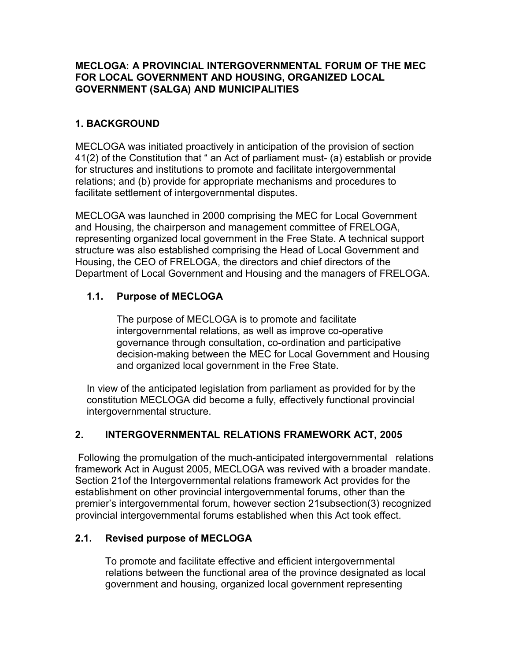### **MECLOGA: A PROVINCIAL INTERGOVERNMENTAL FORUM OF THE MEC FOR LOCAL GOVERNMENT AND HOUSING, ORGANIZED LOCAL GOVERNMENT (SALGA) AND MUNICIPALITIES**

## **1. BACKGROUND**

MECLOGA was initiated proactively in anticipation of the provision of section 41(2) of the Constitution that " an Act of parliament must- (a) establish or provide for structures and institutions to promote and facilitate intergovernmental relations; and (b) provide for appropriate mechanisms and procedures to facilitate settlement of intergovernmental disputes.

MECLOGA was launched in 2000 comprising the MEC for Local Government and Housing, the chairperson and management committee of FRELOGA, representing organized local government in the Free State. A technical support structure was also established comprising the Head of Local Government and Housing, the CEO of FRELOGA, the directors and chief directors of the Department of Local Government and Housing and the managers of FRELOGA.

# **1.1. Purpose of MECLOGA**

The purpose of MECLOGA is to promote and facilitate intergovernmental relations, as well as improve co-operative governance through consultation, co-ordination and participative decision-making between the MEC for Local Government and Housing and organized local government in the Free State.

In view of the anticipated legislation from parliament as provided for by the constitution MECLOGA did become a fully, effectively functional provincial intergovernmental structure.

## **2. INTERGOVERNMENTAL RELATIONS FRAMEWORK ACT, 2005**

 Following the promulgation of the much-anticipated intergovernmental relations framework Act in August 2005, MECLOGA was revived with a broader mandate. Section 21of the Intergovernmental relations framework Act provides for the establishment on other provincial intergovernmental forums, other than the premier's intergovernmental forum, however section 21subsection(3) recognized provincial intergovernmental forums established when this Act took effect.

## **2.1. Revised purpose of MECLOGA**

To promote and facilitate effective and efficient intergovernmental relations between the functional area of the province designated as local government and housing, organized local government representing